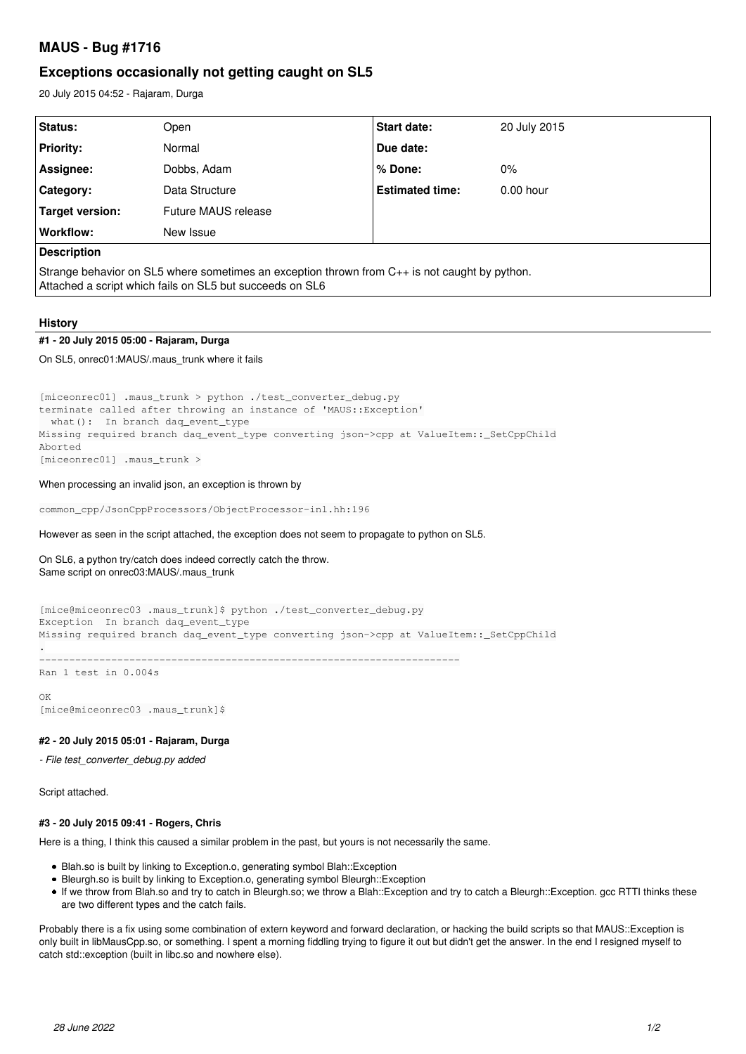# **MAUS - Bug #1716**

# **Exceptions occasionally not getting caught on SL5**

20 July 2015 04:52 - Rajaram, Durga

| Status:                                                                                                                                                   | Open                | Start date:            | 20 July 2015 |
|-----------------------------------------------------------------------------------------------------------------------------------------------------------|---------------------|------------------------|--------------|
| <b>Priority:</b>                                                                                                                                          | Normal              | Due date:              |              |
| Assignee:                                                                                                                                                 | Dobbs, Adam         | % Done:                | $0\%$        |
| Category:                                                                                                                                                 | Data Structure      | <b>Estimated time:</b> | $0.00$ hour  |
| Target version:                                                                                                                                           | Future MAUS release |                        |              |
| Workflow:                                                                                                                                                 | New Issue           |                        |              |
| <b>Description</b>                                                                                                                                        |                     |                        |              |
| Strange behavior on SL5 where sometimes an exception thrown from C++ is not caught by python.<br>Attached a script which fails on SL5 but succeeds on SL6 |                     |                        |              |

# **History**

# **#1 - 20 July 2015 05:00 - Rajaram, Durga**

## On SL5, onrec01:MAUS/.maus\_trunk where it fails

```
[miceonrec01] .maus_trunk > python ./test_converter_debug.py
terminate called after throwing an instance of 'MAUS::Exception'
  what(): In branch dag event type
Missing required branch daq_event_type converting json->cpp at ValueItem::_SetCppChild
Aborted
[miceonrec01] .maus_trunk >
```
## When processing an invalid json, an exception is thrown by

common\_cpp/JsonCppProcessors/ObjectProcessor-inl.hh:196

### However as seen in the script attached, the exception does not seem to propagate to python on SL5.

## On SL6, a python try/catch does indeed correctly catch the throw. Same script on onrec03:MAUS/.maus\_trunk

```
[mice@miceonrec03 .maus_trunk]$ python ./test_converter_debug.py
Exception  In branch daq_event_type
Missing required branch daq_event_type converting json->cpp at ValueItem::_SetCppChild
.
                       ----------------------------------------------------------------------
Ran 1 test in 0.004s
```
#### $\cap$ K

[mice@miceonrec03 .maus\_trunk]\$

## **#2 - 20 July 2015 05:01 - Rajaram, Durga**

*- File test\_converter\_debug.py added*

Script attached.

# **#3 - 20 July 2015 09:41 - Rogers, Chris**

Here is a thing, I think this caused a similar problem in the past, but yours is not necessarily the same.

- Blah.so is built by linking to Exception.o, generating symbol Blah::Exception
- Bleurgh.so is built by linking to Exception.o, generating symbol Bleurgh::Exception
- If we throw from Blah.so and try to catch in Bleurgh.so; we throw a Blah::Exception and try to catch a Bleurgh::Exception. gcc RTTI thinks these are two different types and the catch fails.

Probably there is a fix using some combination of extern keyword and forward declaration, or hacking the build scripts so that MAUS::Exception is only built in libMausCpp.so, or something. I spent a morning fiddling trying to figure it out but didn't get the answer. In the end I resigned myself to catch std::exception (built in libc.so and nowhere else).